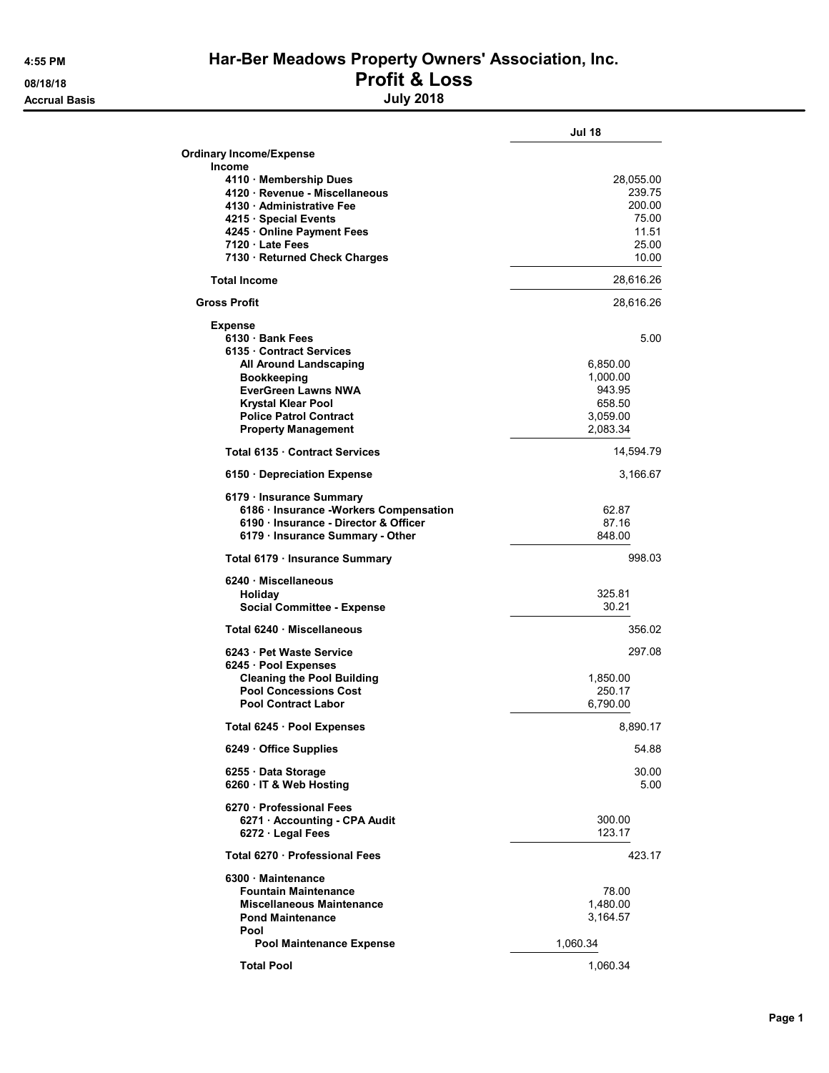**Accrual Basis** 

## 4:55 PM Har-Ber Meadows Property Owners' Association, Inc.

## 08/18/18<br>Accrual Basis decree and the set of the set of the set of the set of the set of the set of the set of the set o<br>Duly 2018

|                                                                                 | <b>Jul 18</b>        |
|---------------------------------------------------------------------------------|----------------------|
| <b>Ordinary Income/Expense</b>                                                  |                      |
| <b>Income</b>                                                                   |                      |
| 4110 · Membership Dues<br>4120 · Revenue - Miscellaneous                        | 28,055.00<br>239.75  |
| 4130 Administrative Fee                                                         | 200.00               |
| 4215 · Special Events                                                           | 75.00                |
| 4245 Online Payment Fees<br>7120 Late Fees                                      | 11.51<br>25.00       |
| 7130 · Returned Check Charges                                                   | 10.00                |
| <b>Total Income</b>                                                             | 28,616.26            |
| <b>Gross Profit</b>                                                             | 28,616.26            |
| Expense                                                                         |                      |
| 6130 Bank Fees                                                                  | 5.00                 |
| 6135 Contract Services<br>All Around Landscaping                                | 6,850.00             |
| <b>Bookkeeping</b>                                                              | 1,000.00             |
| <b>EverGreen Lawns NWA</b>                                                      | 943.95               |
| <b>Krystal Klear Pool</b><br><b>Police Patrol Contract</b>                      | 658.50               |
| <b>Property Management</b>                                                      | 3,059.00<br>2,083.34 |
| Total 6135 Contract Services                                                    | 14,594.79            |
| 6150 Depreciation Expense                                                       | 3,166.67             |
| 6179 · Insurance Summary                                                        |                      |
| 6186 · Insurance -Workers Compensation<br>6190 · Insurance - Director & Officer | 62.87<br>87.16       |
| 6179 · Insurance Summary - Other                                                | 848.00               |
| Total 6179 · Insurance Summary                                                  | 998.03               |
| 6240 Miscellaneous                                                              |                      |
| Holiday                                                                         | 325.81<br>30.21      |
| <b>Social Committee - Expense</b>                                               |                      |
| Total 6240 Miscellaneous                                                        | 356.02               |
| 6243 Pet Waste Service                                                          | 297.08               |
| 6245 · Pool Expenses<br><b>Cleaning the Pool Building</b>                       | 1,850.00             |
| <b>Pool Concessions Cost</b>                                                    | 250.17               |
| <b>Pool Contract Labor</b>                                                      | 6,790.00             |
| Total 6245 · Pool Expenses                                                      | 8,890.17             |
| 6249 Office Supplies                                                            | 54.88                |
| 6255 Data Storage<br>6260 · IT & Web Hosting                                    | 30.00<br>5.00        |
| 6270 - Professional Fees<br>6271 - Accounting - CPA Audit                       | 300.00               |
| 6272 Legal Fees                                                                 | 123.17               |
| Total 6270 · Professional Fees                                                  | 423.17               |
| 6300 Maintenance                                                                |                      |
| <b>Fountain Maintenance</b><br>Miscellaneous Maintenance                        | 78.00<br>1,480.00    |
| <b>Pond Maintenance</b>                                                         | 3,164.57             |
| Pool                                                                            |                      |
| <b>Pool Maintenance Expense</b>                                                 | 1,060.34             |
| <b>Total Pool</b>                                                               | 1,060.34             |